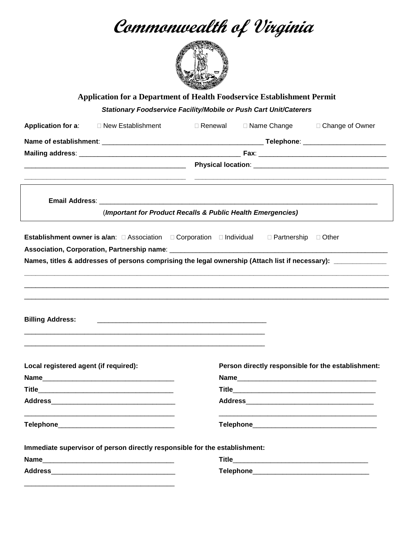**Commonwealth of Virginia**



**Application for a Department of Health Foodservice Establishment Permit**

*Stationary Foodservice Facility/Mobile or Push Cart Unit/Caterers*

| <b>Application for a:</b> □ New Establishment                                                                                | $\Box$ Renewal |  | $\Box$ Name Change $\Box$ Change of Owner          |  |  |
|------------------------------------------------------------------------------------------------------------------------------|----------------|--|----------------------------------------------------|--|--|
|                                                                                                                              |                |  |                                                    |  |  |
|                                                                                                                              |                |  |                                                    |  |  |
|                                                                                                                              |                |  |                                                    |  |  |
|                                                                                                                              |                |  |                                                    |  |  |
| (Important for Product Recalls & Public Health Emergencies)                                                                  |                |  |                                                    |  |  |
| <b>Establishment owner is a/an:</b> $\Box$ Association $\Box$ Corporation $\Box$ Individual $\Box$ Partnership $\Box$ Other  |                |  |                                                    |  |  |
|                                                                                                                              |                |  |                                                    |  |  |
| Names, titles & addresses of persons comprising the legal ownership (Attach list if necessary): _____________                |                |  |                                                    |  |  |
|                                                                                                                              |                |  |                                                    |  |  |
|                                                                                                                              |                |  |                                                    |  |  |
|                                                                                                                              |                |  |                                                    |  |  |
|                                                                                                                              |                |  |                                                    |  |  |
|                                                                                                                              |                |  |                                                    |  |  |
|                                                                                                                              |                |  |                                                    |  |  |
| <b>Billing Address:</b>                                                                                                      |                |  |                                                    |  |  |
|                                                                                                                              |                |  |                                                    |  |  |
|                                                                                                                              |                |  |                                                    |  |  |
|                                                                                                                              |                |  | Person directly responsible for the establishment: |  |  |
|                                                                                                                              |                |  |                                                    |  |  |
| Local registered agent (if required):                                                                                        |                |  |                                                    |  |  |
| Telephone_                                                                                                                   |                |  |                                                    |  |  |
| Immediate supervisor of person directly responsible for the establishment:                                                   |                |  |                                                    |  |  |
| Name<br><u> 2000 - Jan James James Jan James James James James James James James James James James James James James Jam</u> | <b>Title</b>   |  |                                                    |  |  |

\_\_\_\_\_\_\_\_\_\_\_\_\_\_\_\_\_\_\_\_\_\_\_\_\_\_\_\_\_\_\_\_\_\_\_\_\_\_\_\_